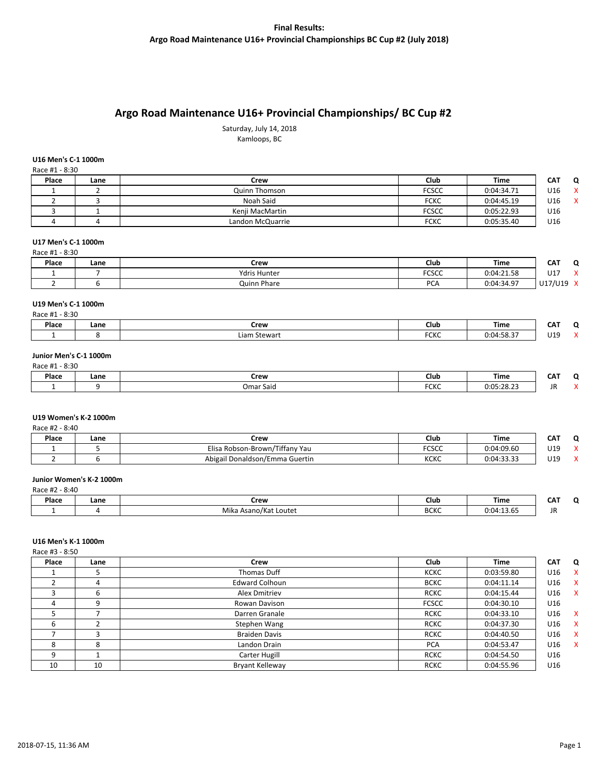# **Argo Road Maintenance U16+ Provincial Championships/ BC Cup #2**

Saturday, July 14, 2018 Kamloops, BC

## **U16 Men's C-1 1000m**

| Race #1 - 8:30 |      |                  |              |            |                   |
|----------------|------|------------------|--------------|------------|-------------------|
| Place          | Lane | Crew             | Club         | Time       | <b>CAT</b><br>- 0 |
|                |      | Quinn Thomson    | <b>FCSCC</b> | 0:04:34.71 | U16               |
|                |      | Noah Said        | <b>FCKC</b>  | 0:04:45.19 | U16<br>х          |
|                |      | Kenji MacMartin  | <b>FCSCC</b> | 0:05:22.93 | U16               |
|                |      | Landon McQuarrie | <b>FCKC</b>  | 0:05:35.40 | U16               |

## **U17 Men's C-1 1000m**

| Race #1 - 8:30 |      |                     |              |            |               |                           |
|----------------|------|---------------------|--------------|------------|---------------|---------------------------|
| Place          | Lane | Crew                | Club         | Time       | CAT           | Ω                         |
|                |      | <b>Ydris Hunter</b> | <b>FCSCC</b> | 0:04:21.58 | $\sim$<br>∪⊥≀ | $\lambda$<br>$\mathbf{v}$ |
|                |      | Quinn Phare         | <b>PCA</b>   | 0:04:34.97 | U17/U19       | $\mathbf{v}$              |

## **U19 Men's C-1 1000m**

| $-8:30$<br>Race #1 |      |              |               |            |            |                      |
|--------------------|------|--------------|---------------|------------|------------|----------------------|
| Place              | Lane | Crew         | Club          | Time       | ---<br>CA. |                      |
|                    |      | Liam Stewart | CCVC<br>FUNU. | 0:04:58.37 | U19        | $\ddot{\phantom{1}}$ |

#### **Junior Men's C-1 1000m** Race #1 - 8:30

| 11000111200 |      |           |                     |                                     |                    |  |
|-------------|------|-----------|---------------------|-------------------------------------|--------------------|--|
| Place       | Lane | Crew      | Club                | Time                                | ---<br>.<br>$\sim$ |  |
|             |      | Omar Said | <b>FOVO</b><br>⊤∪∩∪ | $\sim$ $\sim$<br>0.05<br>U.UJ.ZO.ZJ | JR                 |  |

#### **U19 Women's K-2 1000m**

|  | Race #2 - 8:40 |  |
|--|----------------|--|
|  |                |  |

| Place | Lane | Crew                                                                      | Club                  | <b>Time</b>            | <b>CAT</b> | $\overline{\phantom{a}}$ |
|-------|------|---------------------------------------------------------------------------|-----------------------|------------------------|------------|--------------------------|
|       |      | $\overline{\phantom{a}}$<br>"/Robson-Brown ،<br>' Yau<br>Tiffany<br>Elisa | <b>FOCOC</b><br>ال ال | 0:04:09.60             | U19        | $\lambda$                |
|       |      | Abigail Donaldson/Emma Guertin                                            | KCKC                  | 0.04.22.22<br>U.U<br>. | U19        | $\ddot{\phantom{1}}$     |

## **Junior Women's K-2 1000m**

| Race #2 - 8:40 |  |
|----------------|--|
|                |  |

| Place | Lane | Crew                                        | Club        | Time       | .<br>. .     |
|-------|------|---------------------------------------------|-------------|------------|--------------|
|       |      | $\sim$ $\sim$<br>a Asano/Kat Loutet<br>IVI. | <b>BCKC</b> | 0:04:13.65 | JR<br>$\sim$ |

## **U16 Men's K-1 1000m**

Race #3 - 8:50

| Place | Lane | Crew                  | Club         | <b>Time</b> | <b>CAT</b> | Q            |
|-------|------|-----------------------|--------------|-------------|------------|--------------|
|       |      | <b>Thomas Duff</b>    | <b>KCKC</b>  | 0:03:59.80  | U16        | $\mathbf{x}$ |
|       | 4    | <b>Edward Colhoun</b> | <b>BCKC</b>  | 0:04:11.14  | U16        | X            |
|       | 6    | Alex Dmitriev         | <b>RCKC</b>  | 0:04:15.44  | U16        | $\mathsf{x}$ |
| 4     | ٩    | Rowan Davison         | <b>FCSCC</b> | 0:04:30.10  | U16        |              |
|       |      | Darren Granale        | <b>RCKC</b>  | 0:04:33.10  | U16        | X            |
| b     |      | Stephen Wang          | <b>RCKC</b>  | 0:04:37.30  | U16        | $\mathsf{X}$ |
|       | ξ    | <b>Braiden Davis</b>  | <b>RCKC</b>  | 0:04:40.50  | U16        | X            |
| 8     | 8    | Landon Drain          | <b>PCA</b>   | 0:04:53.47  | U16        | X            |
| 9     |      | Carter Hugill         | <b>RCKC</b>  | 0:04:54.50  | U16        |              |
| 10    | 10   | Bryant Kelleway       | <b>RCKC</b>  | 0:04:55.96  | U16        |              |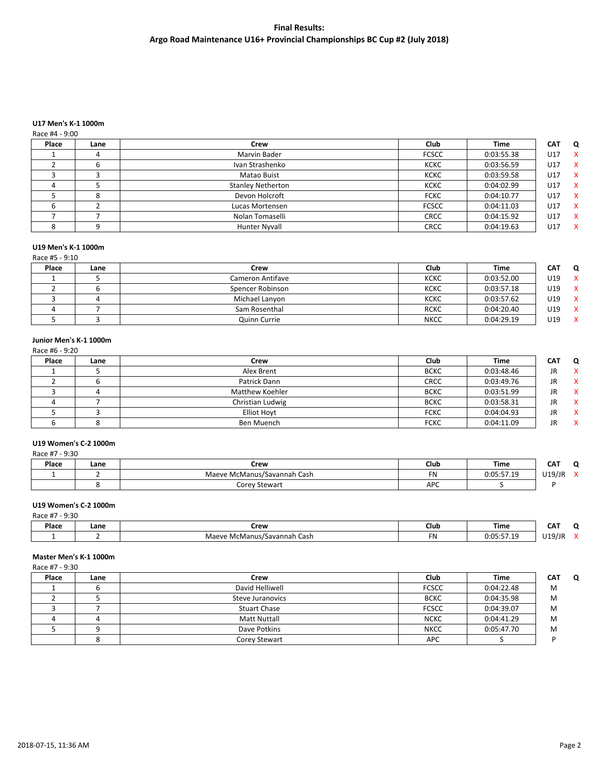## **U17 Men's K-1 1000m**

## Race #4 - 9:00

| Lane | Crew                     | Club         | <b>Time</b> | <b>CAT</b> | Q            |
|------|--------------------------|--------------|-------------|------------|--------------|
|      | Marvin Bader             | <b>FCSCC</b> | 0:03:55.38  | U17        | $\mathsf{X}$ |
|      | Ivan Strashenko          | <b>KCKC</b>  | 0:03:56.59  | U17        | $\mathbf{x}$ |
|      | Matao Buist              | <b>KCKC</b>  | 0:03:59.58  | U17        | $\mathsf{X}$ |
|      | <b>Stanley Netherton</b> | <b>KCKC</b>  | 0:04:02.99  | U17        | $\mathbf{x}$ |
|      | Devon Holcroft           | <b>FCKC</b>  | 0:04:10.77  | U17        | $\mathbf{x}$ |
|      | Lucas Mortensen          | <b>FCSCC</b> | 0:04:11.03  | U17        | $\mathsf{X}$ |
|      | Nolan Tomaselli          | <b>CRCC</b>  | 0:04:15.92  | U17        | $\mathsf{X}$ |
|      | <b>Hunter Nyvall</b>     | <b>CRCC</b>  | 0:04:19.63  | U17        | $\mathbf{x}$ |
|      |                          |              |             |            |              |

## **U19 Men's K-1 1000m**

## Race #5 - 9:10

| Place | Lane | Crew                    | Club        | <b>Time</b> | <b>CAT</b> | 0 |
|-------|------|-------------------------|-------------|-------------|------------|---|
|       |      | <b>Cameron Antifave</b> | <b>KCKC</b> | 0:03:52.00  | U19        | X |
|       |      | Spencer Robinson        | <b>KCKC</b> | 0:03:57.18  | U19        | X |
|       |      | Michael Lanyon          | <b>KCKC</b> | 0:03:57.62  | U19        | X |
|       |      | Sam Rosenthal           | <b>RCKC</b> | 0:04:20.40  | U19        | x |
|       |      | Quinn Currie            | <b>NKCC</b> | 0:04:29.19  | U19        | x |

## **Junior Men's K-1 1000m**

| Race #6 - 9:20 |      |                    |             |             |            |              |
|----------------|------|--------------------|-------------|-------------|------------|--------------|
| Place          | Lane | Crew               | Club        | <b>Time</b> | <b>CAT</b> | Q            |
|                |      | Alex Brent         | <b>BCKC</b> | 0:03:48.46  | JR.        | $\mathbf{x}$ |
|                |      | Patrick Dann       | CRCC        | 0:03:49.76  | JR.        | <b>X</b>     |
|                | 4    | Matthew Koehler    | <b>BCKC</b> | 0:03:51.99  | JR.        | <b>X</b>     |
|                |      | Christian Ludwig   | <b>BCKC</b> | 0:03:58.31  | JR.        | - X          |
|                |      | <b>Elliot Hoyt</b> | <b>FCKC</b> | 0:04:04.93  | JR.        | <b>X</b>     |
|                |      | Ben Muench         | <b>FCKC</b> | 0:04:11.09  | JR.        | $\mathsf{x}$ |

## **U19 Women's C-2 1000m**

| Race #7 - 9:30 |      |                             |            |            |        |              |
|----------------|------|-----------------------------|------------|------------|--------|--------------|
| Place          | Lane | Crew                        | Club       | Time       | CAT    | O            |
|                |      | Maeve McManus/Savannah Cash | <b>FN</b>  | 0:05:57.19 | U19/JR | $\mathbf{v}$ |
|                |      | Corey Stewart               | <b>APC</b> |            |        |              |

## **U19 Women's C-2 1000m**

| / - 9:30<br>Race #7 |      |                             |      |            |            |                      |
|---------------------|------|-----------------------------|------|------------|------------|----------------------|
| Place               | Lane | Crew                        | Club | Time       | <b>CAT</b> |                      |
|                     |      | Maeve McManus/Savannah Cash | FN   | 0:05:57.19 | U19/JR     | $\ddot{\phantom{0}}$ |

## **Master Men's K-1 1000m**

Race #7 - 9:30

| Place | Lane | Crew                | Club         | <b>Time</b> | <b>CAT</b> | $\Omega$ |
|-------|------|---------------------|--------------|-------------|------------|----------|
|       |      | David Helliwell     | <b>FCSCC</b> | 0:04:22.48  | M          |          |
|       |      | Steve Juranovics    | <b>BCKC</b>  | 0:04:35.98  | M          |          |
|       |      | <b>Stuart Chase</b> | FCSCC        | 0:04:39.07  | M          |          |
|       |      | <b>Matt Nuttall</b> | <b>NCKC</b>  | 0:04:41.29  | M          |          |
|       |      | Dave Potkins        | <b>NKCC</b>  | 0:05:47.70  | M          |          |
|       |      | Corey Stewart       | <b>APC</b>   |             |            |          |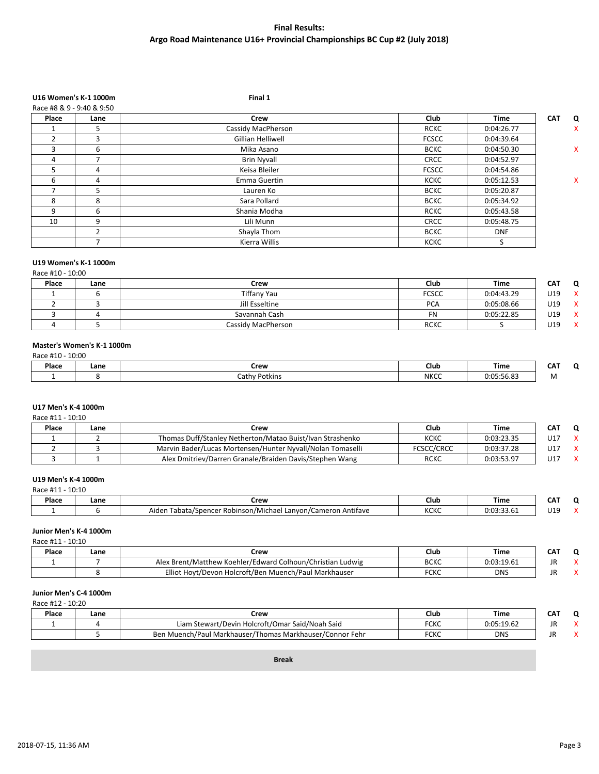# **U16 Women's K-1 1000m Final 1**

| Race #8 & 9 - 9:40 & 9:50 |               |                    |              |             |                 |
|---------------------------|---------------|--------------------|--------------|-------------|-----------------|
| Place                     | Lane          | <b>Crew</b>        | <b>Club</b>  | <b>Time</b> | <b>CAT</b><br>Q |
|                           | 5             | Cassidy MacPherson | <b>RCKC</b>  | 0:04:26.77  | x               |
|                           | 3             | Gillian Helliwell  | <b>FCSCC</b> | 0:04:39.64  |                 |
| 3                         | 6             | Mika Asano         | <b>BCKC</b>  | 0:04:50.30  | x               |
| 4                         |               | <b>Brin Nyvall</b> | <b>CRCC</b>  | 0:04:52.97  |                 |
| 5.                        | 4             | Keisa Bleiler      | <b>FCSCC</b> | 0:04:54.86  |                 |
| 6                         | 4             | Emma Guertin       | <b>KCKC</b>  | 0:05:12.53  | x               |
|                           | 5             | Lauren Ko          | <b>BCKC</b>  | 0:05:20.87  |                 |
| 8                         | 8             | Sara Pollard       | <b>BCKC</b>  | 0:05:34.92  |                 |
| 9                         | 6             | Shania Modha       | <b>RCKC</b>  | 0:05:43.58  |                 |
| 10                        | 9             | Lili Munn          | <b>CRCC</b>  | 0:05:48.75  |                 |
|                           | $\mathcal{P}$ | Shayla Thom        | <b>BCKC</b>  | <b>DNF</b>  |                 |
|                           |               | Kierra Willis      | <b>KCKC</b>  | S           |                 |

## **U19 Women's K-1 1000m**

Race #10 - 10:00

| Place | Lane | Crew               | Club         | <b>Time</b> | CAT | O |
|-------|------|--------------------|--------------|-------------|-----|---|
|       |      | <b>Tiffany Yau</b> | <b>FCSCC</b> | 0:04:43.29  | U19 | x |
|       |      | Jill Esseltine     | <b>PCA</b>   | 0:05:08.66  | U19 | X |
|       |      | Savannah Cash      |              | 0:05:22.85  | U19 | x |
|       |      | Cassidy MacPherson | <b>RCKC</b>  |             | U19 | X |

## **Master's Women's K-1 1000m**

Race #10 - 10:00

| Place | Lane | Crew                      | Club        | Time                          | $ -$<br>'N<br>w |
|-------|------|---------------------------|-------------|-------------------------------|-----------------|
|       |      | Potkins<br>ำาthv r<br>cal | <b>NKCC</b> | $-0.00$<br>$0:0^-$<br>D. 30.0 | <b>IVI</b>      |

## **U17 Men's K-4 1000m**

Race #11 - 10:10

| Place | Lane | Crew                                                       | Club              | <b>Time</b> | CAT |  |
|-------|------|------------------------------------------------------------|-------------------|-------------|-----|--|
|       |      | Thomas Duff/Stanley Netherton/Matao Buist/Ivan Strashenko  | <b>KCKC</b>       | 0:03:23.35  | U17 |  |
|       |      | Marvin Bader/Lucas Mortensen/Hunter Nyvall/Nolan Tomaselli | <b>FCSCC/CRCC</b> | 0:03:37.28  | U17 |  |
|       |      | Alex Dmitriev/Darren Granale/Braiden Davis/Stephen Wang    | <b>RCKC</b>       | 0:03:53.97  | U17 |  |

## **U19 Men's K-4 1000m**

Race #11 - 10:10

| Place | ∟ane | rew:                                                                                                        | Club                       | Time           | CAT<br>.          |  |
|-------|------|-------------------------------------------------------------------------------------------------------------|----------------------------|----------------|-------------------|--|
|       |      | . .<br>. .<br>Aider<br>Antifave<br>Cameron<br>u spencer i<br>Tabata/<br>ı/Michael<br>≅Robinson7.<br>Lanyon/ | <b>VCVC</b><br><b>NUNU</b> | 0.02<br>.<br>. | 110<br>しょこ<br>- - |  |

## **Junior Men's K-4 1000m**

Race #11 - 10:10

| Place | Lane | Crew                                                                        | Club                | Time                      | un. |  |
|-------|------|-----------------------------------------------------------------------------|---------------------|---------------------------|-----|--|
|       |      | /Edward Colhoun/Christian Ludwig<br>r Brent/Matthew)<br>- Koehler/F<br>Alex | <b>BCKC</b>         | 0.03.19.61<br>0.0 <i></i> | JI  |  |
|       |      | Elliot<br>n Muench/Paul Markhauser<br>Holcroft/Ben-<br>. Hovt/Devon         | <b>FCVC</b><br>ับกบ | <b>DNS</b>                |     |  |

## **Junior Men's C-4 1000m**

Race #12 - 10:20

| Place | Lane | Crew                                                                      | Club                  | <b>Time</b> | ---<br>'N<br>ີ |  |
|-------|------|---------------------------------------------------------------------------|-----------------------|-------------|----------------|--|
|       |      | r Said/Noah Said<br>، Holcroft/Omar<br>Liam<br>้า Stewart/Devin เ         | <b>FCVC</b><br>־טוע   | 0:05:19.62  | JR             |  |
|       |      | <i>N</i> uench/Paul Markhauser (<br>/Thomas Markhauser/Connor Fehr<br>Ben | <b>FCVC</b><br>עונה - | <b>DNS</b>  | JF             |  |

**Break**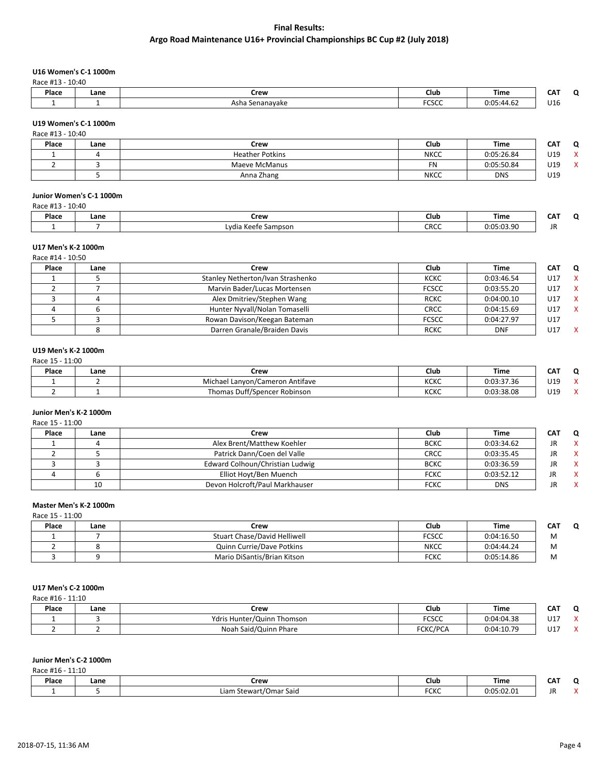## **U16 Women's C-1 1000m**

Race #13 - 10:40

| Place | Lane | `row<br><b>SICK.</b> | Club          | Time                               | - - -                  |
|-------|------|----------------------|---------------|------------------------------------|------------------------|
|       |      | Asha<br>Senanavake   | -----<br>しつしし | $\Delta$ - $\Omega$ 1<br>44<br>7.V | $\overline{14}$<br>U16 |

## **U19 Women's C-1 1000m**

| Race #13 - 10:40 |      |                        |             |            |            |                   |
|------------------|------|------------------------|-------------|------------|------------|-------------------|
| Place            | Lane | Crew                   | Club        | Time       | <b>CAT</b> | $\Omega$          |
|                  |      | <b>Heather Potkins</b> | <b>NKCC</b> | 0:05:26.84 | U19        | $\checkmark$<br>́ |
|                  |      | Maeve McManus          | <b>FN</b>   | 0:05:50.84 | U19        | $\mathbf{v}$      |
|                  |      | Anna Zhang             | <b>NKCC</b> | <b>DNS</b> | U19        |                   |

## **Junior Women's C-1 1000m**

| Race #13 | 10:40 |                     |      |            |            |   |
|----------|-------|---------------------|------|------------|------------|---|
| Place    | Lane  | Crew                | Club | Time       | <b>CAT</b> | C |
|          |       | Lydia Keefe Sampson | CRCC | 0:05:03.90 | JN         |   |

#### **U17 Men's K-2 1000m**  $R$ ace  $\#14 - 10.50$

| 0.0.01 - 11.4 DIA |      |                                   |              |            |     |   |  |
|-------------------|------|-----------------------------------|--------------|------------|-----|---|--|
| Place             | Lane | Crew                              | <b>Club</b>  | Time       | CAT | 0 |  |
|                   |      | Stanley Netherton/Ivan Strashenko | <b>KCKC</b>  | 0:03:46.54 | U17 | x |  |
|                   |      | Marvin Bader/Lucas Mortensen      | <b>FCSCC</b> | 0:03:55.20 | U17 | X |  |
|                   |      | Alex Dmitriev/Stephen Wang        | <b>RCKC</b>  | 0:04:00.10 | U17 | x |  |
|                   |      | Hunter Nyvall/Nolan Tomaselli     | <b>CRCC</b>  | 0:04:15.69 | U17 |   |  |
|                   |      | Rowan Davison/Keegan Bateman      | <b>FCSCC</b> | 0:04:27.97 | U17 |   |  |
|                   |      | Darren Granale/Braiden Davis      | <b>RCKC</b>  | <b>DNF</b> | U17 |   |  |

## **U19 Men's K-2 1000m**

Race 15 - 11:00

| Place | Lane | Crew                                       | Club           | <b>Time</b> | CAT | - |
|-------|------|--------------------------------------------|----------------|-------------|-----|---|
|       |      | Michael<br>/Cameron Antifave<br>ı Lanvon/C | 112122<br>NUNU | 0:03:37.36  | U19 |   |
|       |      | Thomas Duff/Spencer Robinson               | 10010<br>NUNU  | 0:03:38.08  | U19 |   |

## **Junior Men's K-2 1000m**

Race 15 - 11:00

| Place | Lane | Crew                            | Club        | Time       | CAT | 0   |
|-------|------|---------------------------------|-------------|------------|-----|-----|
|       |      | Alex Brent/Matthew Koehler      | <b>BCKC</b> | 0:03:34.62 | JR  |     |
|       |      | Patrick Dann/Coen del Valle     | <b>CRCC</b> | 0:03:35.45 | JR  | - X |
|       |      | Edward Colhoun/Christian Ludwig | <b>BCKC</b> | 0:03:36.59 | JR  | X   |
|       |      | Elliot Hoyt/Ben Muench          | <b>FCKC</b> | 0:03:52.12 |     | x   |
|       | 10   | Devon Holcroft/Paul Markhauser  | <b>FCKC</b> | <b>DNS</b> | JR  | x   |

## **Master Men's K-2 1000m**

Race 15 - 11:00

| Place | Lane | Crew                                | Club        | <b>Time</b> | CAT |
|-------|------|-------------------------------------|-------------|-------------|-----|
|       |      | <b>Stuart Chase/David Helliwell</b> | FCSCC       | 0:04:16.50  | M   |
|       |      | Quinn Currie/Dave Potkins           | <b>NKCC</b> | 0:04:44.24  | M   |
|       |      | Mario DiSantis/Brian Kitson         | <b>FCKC</b> | 0:05:14.86  | M   |

## **U17 Men's C-2 1000m**

Race #16 - 11:10

| Place | Lane | Crew                       | Club            | Time       | ---<br>CA I | ∽ |
|-------|------|----------------------------|-----------------|------------|-------------|---|
|       |      | Ydris Hunter/Quinn Thomson | <b>FCSCC</b>    | 0:04:04.38 | U17         |   |
|       |      | Noah Said/Quinn Phare      | <b>FCKC/PCA</b> | 0:04:10.79 | $U1^-$      |   |

## **Junior Men's C-2 1000m**

Race #16 - 11:10

| Place | Lane | Crew                             | Club                 | Time                                  | ----<br>$-$ |  |
|-------|------|----------------------------------|----------------------|---------------------------------------|-------------|--|
|       |      | ∟iam<br>t/Omar Said<br>. stewar† | $F^{\prime}$<br>־טוע | $\sim$ $\sim$<br>0.05<br>,,,,,,,,,,,, |             |  |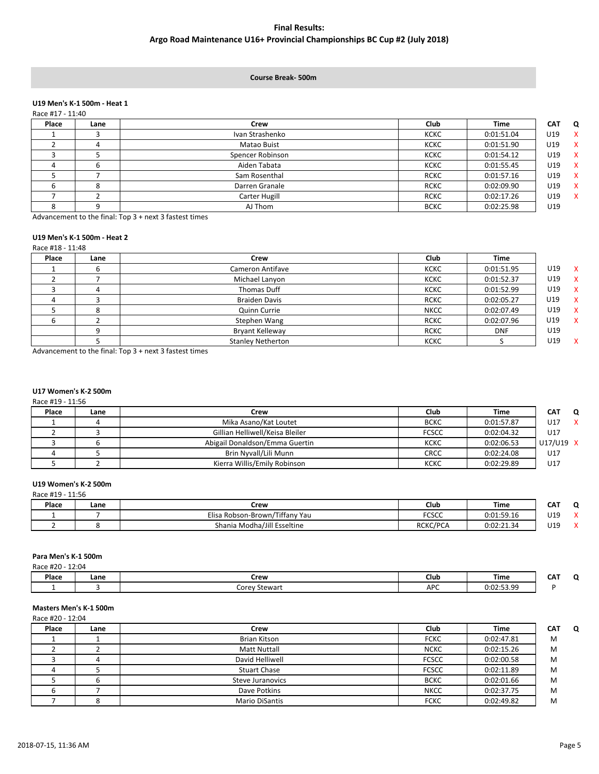#### **Course Break- 500m**

#### **U19 Men's K-1 500m - Heat 1**  $R_{200}$  #17  $-$  11:40

| Place<br><b>Club</b><br><b>Time</b><br><b>CAT</b><br>Crew<br>Lane<br>Ivan Strashenko<br><b>KCKC</b><br>U19<br>0:01:51.04<br>U19<br>Matao Buist<br><b>KCKC</b><br>0:01:51.90<br>U19<br>Spencer Robinson<br>0:01:54.12<br><b>KCKC</b> |              |
|-------------------------------------------------------------------------------------------------------------------------------------------------------------------------------------------------------------------------------------|--------------|
|                                                                                                                                                                                                                                     | Q            |
|                                                                                                                                                                                                                                     | $\mathsf{x}$ |
|                                                                                                                                                                                                                                     | $\mathbf{x}$ |
|                                                                                                                                                                                                                                     | $\mathsf{X}$ |
| Aiden Tabata<br>U19<br><b>KCKC</b><br>0:01:55.45<br>D                                                                                                                                                                               | $\mathbf{x}$ |
| Sam Rosenthal<br><b>RCKC</b><br>0:01:57.16<br>U19                                                                                                                                                                                   | $\mathbf{x}$ |
| 0:02:09.90<br><b>RCKC</b><br>U19<br>Darren Granale<br>8                                                                                                                                                                             | $\mathsf{X}$ |
| Carter Hugill<br><b>RCKC</b><br>0:02:17.26<br>U19                                                                                                                                                                                   | $\mathbf{x}$ |
| AJ Thom<br>U19<br><b>BCKC</b><br>0:02:25.98<br>∩                                                                                                                                                                                    |              |

Advancement to the final: Top 3 + next 3 fastest times

## **U19 Men's K-1 500m - Heat 2**

Race #18 - 11:48

| Place | Lane | Crew                     | Club        | <b>Time</b> |     |              |
|-------|------|--------------------------|-------------|-------------|-----|--------------|
|       |      | Cameron Antifave         | <b>KCKC</b> | 0:01:51.95  | U19 | $\mathbf{x}$ |
|       |      | Michael Lanyon           | <b>KCKC</b> | 0:01:52.37  | U19 | $\mathsf{X}$ |
|       |      | Thomas Duff              | <b>KCKC</b> | 0:01:52.99  | U19 | $\mathsf{X}$ |
|       |      | <b>Braiden Davis</b>     | <b>RCKC</b> | 0:02:05.27  | U19 | <b>X</b>     |
|       |      | Quinn Currie             | <b>NKCC</b> | 0:02:07.49  | U19 | $\mathsf{X}$ |
|       |      | Stephen Wang             | <b>RCKC</b> | 0:02:07.96  | U19 | $\mathsf{X}$ |
|       |      | Bryant Kelleway          | <b>RCKC</b> | <b>DNF</b>  | U19 |              |
|       |      | <b>Stanley Netherton</b> | <b>KCKC</b> |             | U19 | $\mathbf{x}$ |

Advancement to the final: Top 3 + next 3 fastest times

# **U17 Women's K-2 500m**

Race #19 - 11:56

| CAT<br>0  |
|-----------|
| U17       |
| U17       |
| U17/U19 X |
| U17       |
| U17       |
|           |

## **U19 Women's K-2 500m**

| Race #19 - 11:56 |      |                                |          |            |     |   |
|------------------|------|--------------------------------|----------|------------|-----|---|
| Place            | Lane | Crew                           | Club     | Time       | CAT | ◠ |
|                  |      | Elisa Robson-Brown/Tiffany Yau | FCSCC    | 0:01:59.16 | U19 | ↗ |
|                  |      | Shania Modha/Jill Esseltine    | RCKC/PCA | 0:02:21.34 | U19 | ↗ |

## **Para Men's K-1 500m**

| 12:04<br>Race #20 - |      |                               |            |                                 |            |        |
|---------------------|------|-------------------------------|------------|---------------------------------|------------|--------|
| Place               | Lane | Crew                          | Club       | Time                            | <b>CAT</b> | $\sim$ |
|                     |      | Corey<br><sup>,</sup> Stewart | <b>APC</b> | 0.02.53.00<br><b>U.UZ.JJ.J.</b> |            |        |

## **Masters Men's K-1 500m**

Race #20 - 12:04

| Place | Lane | Crew                    | Club         | <b>Time</b> | <b>CAT</b><br>O |
|-------|------|-------------------------|--------------|-------------|-----------------|
|       |      | <b>Brian Kitson</b>     | <b>FCKC</b>  | 0:02:47.81  | M               |
|       |      | <b>Matt Nuttall</b>     | <b>NCKC</b>  | 0:02:15.26  | M               |
|       |      | David Helliwell         | <b>FCSCC</b> | 0:02:00.58  | M               |
|       |      | <b>Stuart Chase</b>     | <b>FCSCC</b> | 0:02:11.89  | M               |
|       |      | <b>Steve Juranovics</b> | <b>BCKC</b>  | 0:02:01.66  | M               |
|       |      | Dave Potkins            | <b>NKCC</b>  | 0:02:37.75  | M               |
|       |      | Mario DiSantis          | <b>FCKC</b>  | 0:02:49.82  | M               |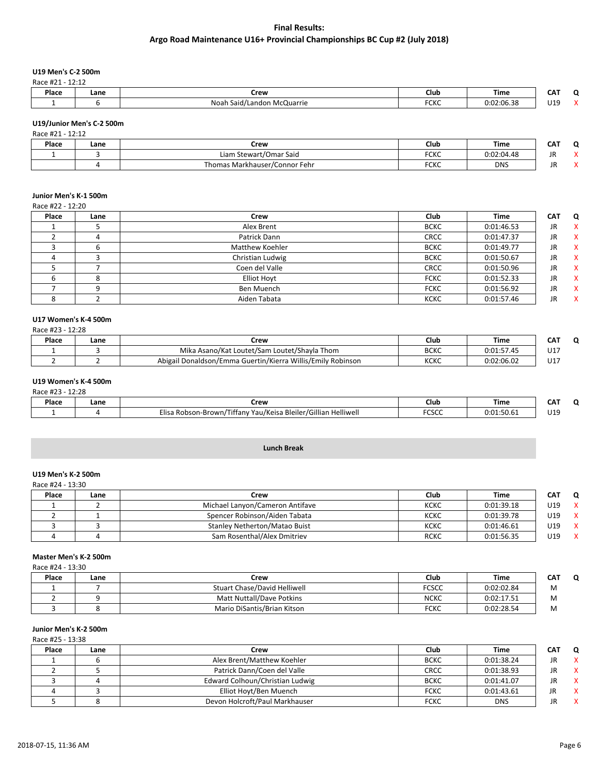## **U19 Men's C-2 500m**

Race #21 - 12:12

| Place | Lane | Crew                                 | Club                | <b>Time</b> | $-2$<br>CА | $\overline{\phantom{0}}$ |
|-------|------|--------------------------------------|---------------------|-------------|------------|--------------------------|
|       |      | n McQuarrie<br>Noah<br>Said/Landon ا | $F^{\prime}$<br>しいし | 0:02:06.38  | 110<br>ັ້  |                          |

## **U19/Junior Men's C-2 500m**

| Race #21 - 12:12 |      |                               |             |            |     |           |
|------------------|------|-------------------------------|-------------|------------|-----|-----------|
| Place            | Lane | Crew                          | Club        | Time       | САТ | $\Omega$  |
|                  |      | Liam Stewart/Omar Said        | <b>FCKC</b> | 0:02:04.48 | JR  |           |
|                  |      | Thomas Markhauser/Connor Fehr | <b>FCKC</b> | <b>DNS</b> | JR  | $\lambda$ |

## **Junior Men's K-1 500m**

Race #22 - 12:20

| Place | Lane | Crew               | Club        | <b>Time</b> | <b>CAT</b> | Q                         |
|-------|------|--------------------|-------------|-------------|------------|---------------------------|
|       |      | Alex Brent         | <b>BCKC</b> | 0:01:46.53  | JR.        | $\boldsymbol{\mathsf{x}}$ |
|       |      | Patrick Dann       | <b>CRCC</b> | 0:01:47.37  | JR         | X                         |
|       |      | Matthew Koehler    | <b>BCKC</b> | 0:01:49.77  | JR         | X                         |
|       |      | Christian Ludwig   | <b>BCKC</b> | 0:01:50.67  | <b>JR</b>  | $\boldsymbol{\mathsf{x}}$ |
|       |      | Coen del Valle     | <b>CRCC</b> | 0:01:50.96  | JR.        | $\boldsymbol{\mathsf{x}}$ |
|       |      | <b>Elliot Hoyt</b> | <b>FCKC</b> | 0:01:52.33  | <b>JR</b>  | $\boldsymbol{\mathsf{x}}$ |
|       |      | Ben Muench         | <b>FCKC</b> | 0:01:56.92  | <b>JR</b>  | X                         |
|       |      | Aiden Tabata       | <b>KCKC</b> | 0:01:57.46  | JR.        | x                         |

## **U17 Women's K-4 500m**

| Race #23 - 12:28 |  |  |
|------------------|--|--|
|                  |  |  |

| Place | Lane | Crew                                                               | Club        | <b>Time</b>                        | CAT |
|-------|------|--------------------------------------------------------------------|-------------|------------------------------------|-----|
|       |      | า Loutet/Shayla Thom<br>Mika<br>a Asano/Kat Loutet/Sam             | <b>BCKC</b> | $ -$<br><b>0.01</b><br>U.U.L.J/.45 | U17 |
|       |      | J Willis/Emily Robinson<br>Abigail Donaldson/Emma Guertin/Kierra \ | кскс        | 0:02:06.02                         | U17 |

#### **U19 Women's K-4 500m**  $R$ 3 $c$ 9  $#$   $2, 12.28$

| - Race #25<br>12.ZO |      |                                                                        |               |            |                      |  |
|---------------------|------|------------------------------------------------------------------------|---------------|------------|----------------------|--|
| Place               | Lane | Crew                                                                   | Club          | Time       | ---<br>n<br>$\cdots$ |  |
|                     |      | Yau/Keisa Bleiler/Gillian Helliwell<br>Elisa Robson-Brown/<br>'Tittanv | -----<br>עאנג | 0:01:50.61 | U19                  |  |

## **Lunch Break**

## **U19 Men's K-2 500m**

Race #24 - 13:30

| Place | Lane | Crew                            | Club        | Time       | CAT | $\Omega$     |
|-------|------|---------------------------------|-------------|------------|-----|--------------|
|       |      | Michael Lanyon/Cameron Antifave | KCKC        | 0:01:39.18 | U19 | X            |
|       |      | Spencer Robinson/Aiden Tabata   | <b>KCKC</b> | 0:01:39.78 | U19 | $\mathbf{x}$ |
|       |      | Stanley Netherton/Matao Buist   | <b>KCKC</b> | 0:01:46.61 | U19 | $\mathbf{x}$ |
|       |      | Sam Rosenthal/Alex Dmitriev     | RCKC        | 0:01:56.35 | U19 | $\sim$       |

#### **Master Men's K-2 500m**

Race #24 - 13:30

| Place | Lane | Crew                         | Club         | <b>Time</b> | CAT |
|-------|------|------------------------------|--------------|-------------|-----|
|       |      | Stuart Chase/David Helliwell | <b>FCSCC</b> | 0:02:02.84  | M   |
|       |      | Matt Nuttall/Dave Potkins    | <b>NCKC</b>  | 0:02:17.51  | M   |
|       |      | Mario DiSantis/Brian Kitson  | <b>FCKC</b>  | 0:02:28.54  | M   |

## **Junior Men's K-2 500m**

Race #25 - 13:38

| Place | Lane | Crew                            | Club        | Time       | CAT | - 0          |
|-------|------|---------------------------------|-------------|------------|-----|--------------|
|       |      | Alex Brent/Matthew Koehler      | <b>BCKC</b> | 0:01:38.24 | JR  | <b>X</b>     |
|       |      | Patrick Dann/Coen del Valle     | <b>CRCC</b> | 0:01:38.93 | JR  | <b>X</b>     |
|       |      | Edward Colhoun/Christian Ludwig | <b>BCKC</b> | 0:01:41.07 | JR  | $\mathbf{x}$ |
|       |      | Elliot Hoyt/Ben Muench          | <b>FCKC</b> | 0:01:43.61 |     |              |
|       |      | Devon Holcroft/Paul Markhauser  | <b>FCKC</b> | <b>DNS</b> | JR  | X            |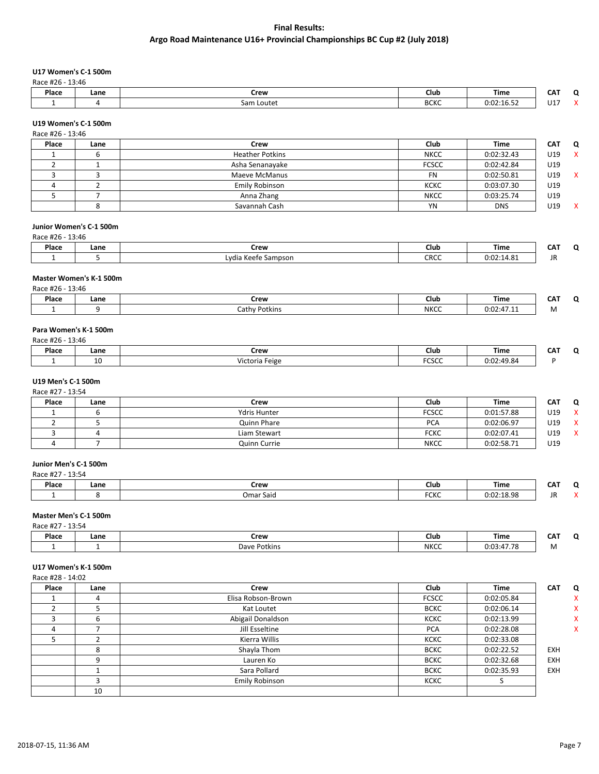## **U17 Women's C-1 500m**

Race #26 - 13:46

| Place | Lane | Crew       | Club        | <b>Time</b> | $\sim$    |  |
|-------|------|------------|-------------|-------------|-----------|--|
|       |      | Sam Loutet | <b>BCKC</b> | 0:02:16.52  | 147<br>UÏ |  |

## **U19 Women's C-1 500m**

| Race #26 - 13:46 |      |                        |              |            |            |   |
|------------------|------|------------------------|--------------|------------|------------|---|
| Place            | Lane | Crew                   | Club         | Time       | <b>CAT</b> | O |
|                  |      | <b>Heather Potkins</b> | <b>NKCC</b>  | 0:02:32.43 | U19        | X |
|                  |      | Asha Senanayake        | <b>FCSCC</b> | 0:02:42.84 | U19        |   |
|                  |      | Maeve McManus          | FN           | 0:02:50.81 | U19        |   |
|                  |      | Emily Robinson         | <b>KCKC</b>  | 0:03:07.30 | U19        |   |
|                  |      | Anna Zhang             | <b>NKCC</b>  | 0:03:25.74 | U19        |   |
|                  |      | Savannah Cash          | YN           | <b>DNS</b> | U19        | x |

## **Junior Women's C-1 500m**

Race #26 - 13:46

| Place | Lane | Crew                     | Club | Time       | $ -$<br>. . |
|-------|------|--------------------------|------|------------|-------------|
|       |      | .vdia Keefe<br>. Sampson | CRCC | 0:02:14.81 | $\cdot$     |

#### **Master Women's K-1 500m**

| Race #26 | 13:46 |               |             |            |          |  |
|----------|-------|---------------|-------------|------------|----------|--|
| Place    | Lane  | Crew          | <b>Club</b> | Time       | ---<br>w |  |
|          |       | Cathy Potkins | <b>NKCC</b> | 0:02:47.11 | M        |  |

## **Para Women's K-1 500m**

| Race #26 | 13:46 |                |                        |            |                                   |  |
|----------|-------|----------------|------------------------|------------|-----------------------------------|--|
| Place    | Lane  | Crew           | Club                   | Time       | $\mathsf{C}\mathsf{A}^{\pi}$<br>ີ |  |
|          | 10    | Victoria Feige | <b>FCCCC</b><br>FLSLL. | 0:02:49.84 |                                   |  |

#### **U19 Men's C-1 500m** Race #27 - 13:54

|  | Place | Lane | Crew         | Club         | <b>Time</b> | <b>CAT</b> | O            |
|--|-------|------|--------------|--------------|-------------|------------|--------------|
|  |       |      | Ydris Hunter | <b>FCSCC</b> | 0:01:57.88  | U19        | x            |
|  |       |      | Quinn Phare  | <b>PCA</b>   | 0:02:06.97  | U19        | x            |
|  |       |      | Liam Stewart | <b>FCKC</b>  | 0:02:07.41  | U19        | $\checkmark$ |
|  |       |      | Quinn Currie | <b>NKCC</b>  | 0:02:58.71  | U19        |              |

#### **Junior Men's C-1 500m**

| Race #27 | 12.5A<br>13:54 |           |                     |            |                 |              |
|----------|----------------|-----------|---------------------|------------|-----------------|--------------|
| Place    | Lane           | Crew      | Club                | Time       | CA <sub>1</sub> | C            |
|          |                | Omar Said | <b>FOVO</b><br>「しへし | 0:02:18.98 | ID<br>JN        | $\cdot$<br>, |

## **Master Men's C-1 500m**

| Race #27 - 13:54 |
|------------------|
|------------------|

| Place | Lane | Crew              | $ \cdot$<br>Club | Time            | $-21$<br>CA.<br>$\sim$ $\sim$ | $\overline{\phantom{0}}$ |
|-------|------|-------------------|------------------|-----------------|-------------------------------|--------------------------|
|       |      | : Potkins<br>Dave | <b>NKCC</b>      | $-1$<br>0:03:47 | .                             |                          |

#### **U17 Women's K-1 500m** Race #28 - 14:02

| Place | Lane | Crew               | <b>Club</b>  | <b>Time</b> | <b>CAT</b> |
|-------|------|--------------------|--------------|-------------|------------|
|       | 4    | Elisa Robson-Brown | <b>FCSCC</b> | 0:02:05.84  |            |
|       |      | Kat Loutet         | <b>BCKC</b>  | 0:02:06.14  |            |
|       | b    | Abigail Donaldson  | <b>KCKC</b>  | 0:02:13.99  |            |
|       |      | Jill Esseltine     | <b>PCA</b>   | 0:02:28.08  |            |
|       |      | Kierra Willis      | <b>KCKC</b>  | 0:02:33.08  |            |
|       | 8    | Shayla Thom        | <b>BCKC</b>  | 0:02:22.52  | <b>EXH</b> |
|       | 9    | Lauren Ko          | <b>BCKC</b>  | 0:02:32.68  | <b>EXH</b> |
|       |      | Sara Pollard       | <b>BCKC</b>  | 0:02:35.93  | EXH        |
|       |      | Emily Robinson     | <b>KCKC</b>  |             |            |
|       | 10   |                    |              |             |            |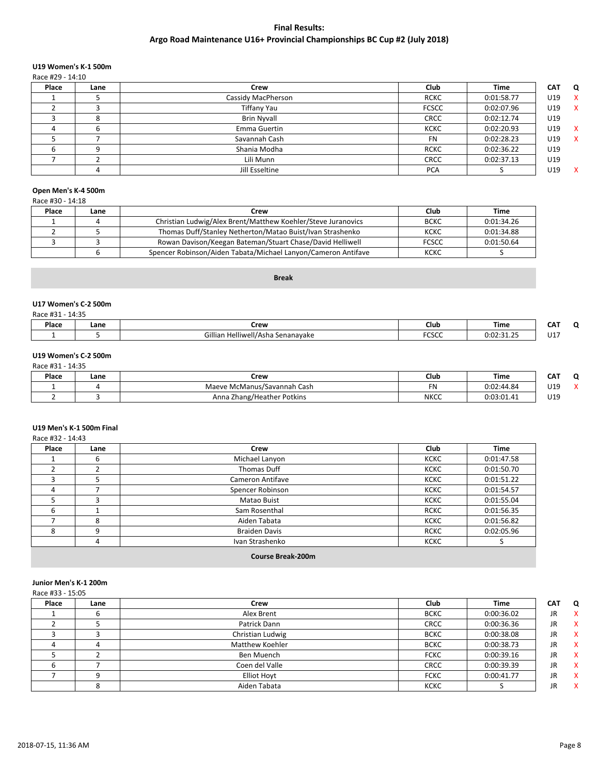## **U19 Women's K-1 500m**

Race #29 - 14:10

| Place | Lane | Crew               | <b>Club</b>  | <b>Time</b> | <b>CAT</b> | Q            |
|-------|------|--------------------|--------------|-------------|------------|--------------|
|       |      | Cassidy MacPherson | <b>RCKC</b>  | 0:01:58.77  | U19        | $\mathsf{X}$ |
|       |      | Tiffany Yau        | <b>FCSCC</b> | 0:02:07.96  | U19        | $\mathsf{X}$ |
|       |      | <b>Brin Nyvall</b> | <b>CRCC</b>  | 0:02:12.74  | U19        |              |
|       |      | Emma Guertin       | <b>KCKC</b>  | 0:02:20.93  | U19        | $\mathsf{X}$ |
|       |      | Savannah Cash      | <b>FN</b>    | 0:02:28.23  | U19        | $\mathbf{x}$ |
|       |      | Shania Modha       | <b>RCKC</b>  | 0:02:36.22  | U19        |              |
|       |      | Lili Munn          | <b>CRCC</b>  | 0:02:37.13  | U19        |              |
|       |      | Jill Esseltine     | <b>PCA</b>   |             | U19        | $\mathbf{x}$ |

## **Open Men's K-4 500m**

Race #30 - 14:18

| Place | Lane | Crew                                                          | Club         | Time       |
|-------|------|---------------------------------------------------------------|--------------|------------|
|       |      | Christian Ludwig/Alex Brent/Matthew Koehler/Steve Juranovics  | <b>BCKC</b>  | 0:01:34.26 |
|       |      | Thomas Duff/Stanley Netherton/Matao Buist/Ivan Strashenko     | KCKC         | 0:01:34.88 |
|       |      | Rowan Davison/Keegan Bateman/Stuart Chase/David Helliwell     | <b>FCSCC</b> | 0:01:50.64 |
|       |      | Spencer Robinson/Aiden Tabata/Michael Lanyon/Cameron Antifave | <b>KCKC</b>  |            |

## **Break**

#### **U17 Women's C-2 500m**

| Race #31<br>. .<br>7.J.L | 14:35 |                                        |             |                                   |     |  |
|--------------------------|-------|----------------------------------------|-------------|-----------------------------------|-----|--|
| Place                    | Lane  | Crew                                   | Club        | Time                              | CAT |  |
|                          |       | I Helliwell/Asha Senanayake<br>Gillian | 20000<br>wu | .21.25<br>∩∙∩′<br>.<br>0.02.JI.ZJ | U17 |  |

#### **U19 Women's C-2 500m**  $R$ ace #31 - 14:35

|       | 110LC #31 - 14.33 |                             |          |             |            |        |  |
|-------|-------------------|-----------------------------|----------|-------------|------------|--------|--|
| Place | Lane              | Crew                        | Club     | <b>Time</b> | ---<br>CAT |        |  |
|       |                   | Maeve McManus/Savannah Cash | r.<br>۲N | 0:02:44.84  | U19        | $\sim$ |  |
|       |                   | Anna Zhang/Heather Potkins  | NKCC     | 0:03:01.41  | U19        |        |  |

## **U19 Men's K-1 500m Final**

| Race #32 - 14:43 |      |                      |             |             |
|------------------|------|----------------------|-------------|-------------|
| Place            | Lane | Crew                 | Club        | <b>Time</b> |
|                  |      | Michael Lanyon       | <b>KCKC</b> | 0:01:47.58  |
|                  |      | Thomas Duff          | <b>KCKC</b> | 0:01:50.70  |
|                  |      | Cameron Antifave     | <b>KCKC</b> | 0:01:51.22  |
| 4                |      | Spencer Robinson     | <b>KCKC</b> | 0:01:54.57  |
|                  |      | Matao Buist          | <b>KCKC</b> | 0:01:55.04  |
| 6                |      | Sam Rosenthal        | <b>RCKC</b> | 0:01:56.35  |
|                  | 8    | Aiden Tabata         | <b>KCKC</b> | 0:01:56.82  |
| 8                | 9    | <b>Braiden Davis</b> | <b>RCKC</b> | 0:02:05.96  |
|                  | 4    | Ivan Strashenko      | <b>KCKC</b> |             |

## **Course Break-200m**

## **Junior Men's K-1 200m**

| Race #33 - 15:05 |      |                    |             |             |            |                           |
|------------------|------|--------------------|-------------|-------------|------------|---------------------------|
| Place            | Lane | Crew               | Club        | <b>Time</b> | <b>CAT</b> | Q                         |
|                  | O    | Alex Brent         | <b>BCKC</b> | 0:00:36.02  | <b>JR</b>  | $\boldsymbol{\mathsf{x}}$ |
|                  |      | Patrick Dann       | <b>CRCC</b> | 0:00:36.36  | <b>JR</b>  | X                         |
|                  |      | Christian Ludwig   | <b>BCKC</b> | 0:00:38.08  | JR         | $\boldsymbol{\mathsf{x}}$ |
|                  |      | Matthew Koehler    | <b>BCKC</b> | 0:00:38.73  | <b>JR</b>  | $\boldsymbol{\mathsf{x}}$ |
|                  |      | Ben Muench         | <b>FCKC</b> | 0:00:39.16  | JR         | $\boldsymbol{\mathsf{x}}$ |
| b                |      | Coen del Valle     | <b>CRCC</b> | 0:00:39.39  | JR         | X                         |
|                  |      | <b>Elliot Hoyt</b> | <b>FCKC</b> | 0:00:41.77  | <b>JR</b>  | $\boldsymbol{\mathsf{x}}$ |
|                  |      | Aiden Tabata       | <b>KCKC</b> |             | <b>JR</b>  | x                         |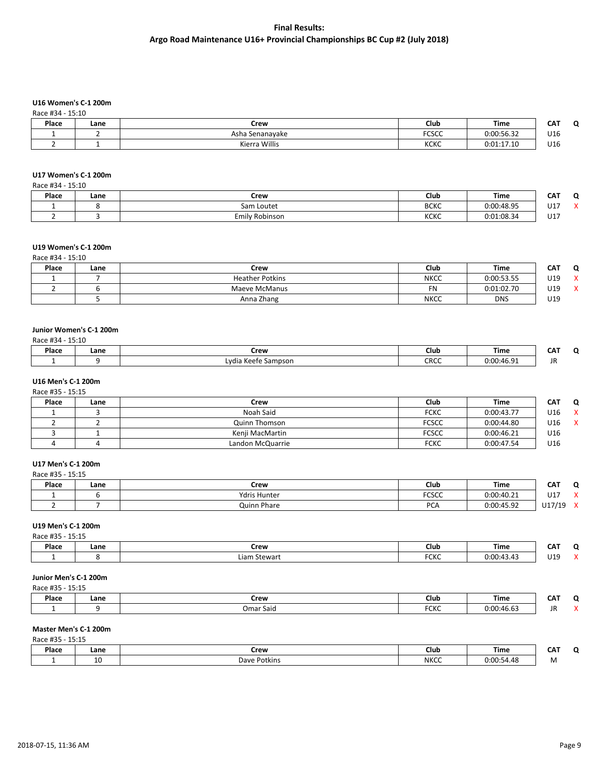## **U16 Women's C-1 200m**

| Race #34 - 15:10 |  |
|------------------|--|
|                  |  |

| 1100C HJ<br><b>JULIO</b> |      |                 |              |            |            |   |
|--------------------------|------|-----------------|--------------|------------|------------|---|
| Place                    | Lane | Crew            | Club         | Time       | ---<br>CA. | n |
|                          |      | Asha Senanavake | <b>FCSCC</b> | 0:00:56.32 | U16<br>. . |   |
|                          |      | Kierra Willis   | <b>KCKC</b>  | 0:01:17.10 | U16        |   |

#### **U17 Women's C-1 200m**

| Race #34 - 15:10 |      |                |             |             |            |   |
|------------------|------|----------------|-------------|-------------|------------|---|
| Place            | Lane | Crew           | Club        | <b>Time</b> | <b>CAT</b> | Ω |
|                  |      | Sam Loutet     | <b>BCKC</b> | 0:00:48.95  | U17        |   |
|                  |      | Emily Robinson | <b>KCKC</b> | 0:01:08.34  | U17        |   |

## **U19 Women's C-1 200m**

Race #34 - 15:10

| Place | Lane | Crew                   | Club        | <b>Time</b> | <b>CAT</b> | O       |
|-------|------|------------------------|-------------|-------------|------------|---------|
|       |      | <b>Heather Potkins</b> | <b>NKCC</b> | 0:00:53.55  | U19        | $\cdot$ |
|       |      | Maeve McManus          | <b>FN</b>   | 0:01:02.70  | U19        |         |
|       |      | Anna Zhang             | <b>NKCC</b> | <b>DNS</b>  | U19        |         |

## **Junior Women's C-1 200m**

| Place | Lane | Crew                   | Club | Time               | ---<br>ີ |
|-------|------|------------------------|------|--------------------|----------|
|       |      | Lvdia Keefe<br>Sampson | CRCC | 30.04<br>2:00:46.5 |          |

#### **U16 Men's C-1 200m** Race #35 - 15:15

| Ndlt +33 - 13.13 |      |                  |              |            |     |   |
|------------------|------|------------------|--------------|------------|-----|---|
| Place            | Lane | Crew             | Club         | Time       | CAT | 0 |
|                  |      | Noah Said        | <b>FCKC</b>  | 0:00:43.77 | U16 | x |
|                  |      | Quinn Thomson    | <b>FCSCC</b> | 0:00:44.80 | U16 |   |
|                  |      | Kenii MacMartin  | <b>FCSCC</b> | 0:00:46.21 | U16 |   |
|                  |      | Landon McQuarrie | <b>FCKC</b>  | 0:00:47.54 | U16 |   |

#### **U17 Men's C-1 200m**

Race #35 - 15:15

| .     |      |                     |                       |            |                    |                          |
|-------|------|---------------------|-----------------------|------------|--------------------|--------------------------|
| Place | Lane | Crew                | Club                  | Time       | <b>CAT</b>         | $\overline{\phantom{a}}$ |
|       |      | <b>Ydris Hunter</b> | <b>FCCCC</b><br>ال ال | 0:00:40.21 | U17                |                          |
|       |      | Quinn Phare         | DC.<br>. Ur.          | 0:00:45.92 | 1117/10<br>ᅩ<br>ັ້ | $\lambda$                |

## **U19 Men's C-1 200m**

|  | Race #35 - 15:15 |  |
|--|------------------|--|
|  |                  |  |

| Place | Lane | Crew                | Club        | --<br>Time                                    | ີ   |  |
|-------|------|---------------------|-------------|-----------------------------------------------|-----|--|
|       |      | Liam 1<br>ı Stewarl | F''<br>־טוע | 0:00:43.<br>$\overline{\phantom{a}}$<br>.40.4 | U19 |  |
|       |      |                     |             |                                               |     |  |

## **Junior Men's C-1 200m**

| Place | Lane | Crew      | Club                | Time                        | ---<br>CA.<br>$\sim$ |  |
|-------|------|-----------|---------------------|-----------------------------|----------------------|--|
|       |      | Omar Said | $F^{\prime}$<br>עוע | $\sim$ $\sim$<br>0:00:46.63 | JR                   |  |

# **Master Men's C-1 200m**

| Place | Lane | Crew         | Club        | Time               | $- -$<br>ີ |  |
|-------|------|--------------|-------------|--------------------|------------|--|
|       | ᅭ    | Dave Potkins | <b>NKCC</b> | 0:00:54.48<br>1.10 | ו עו       |  |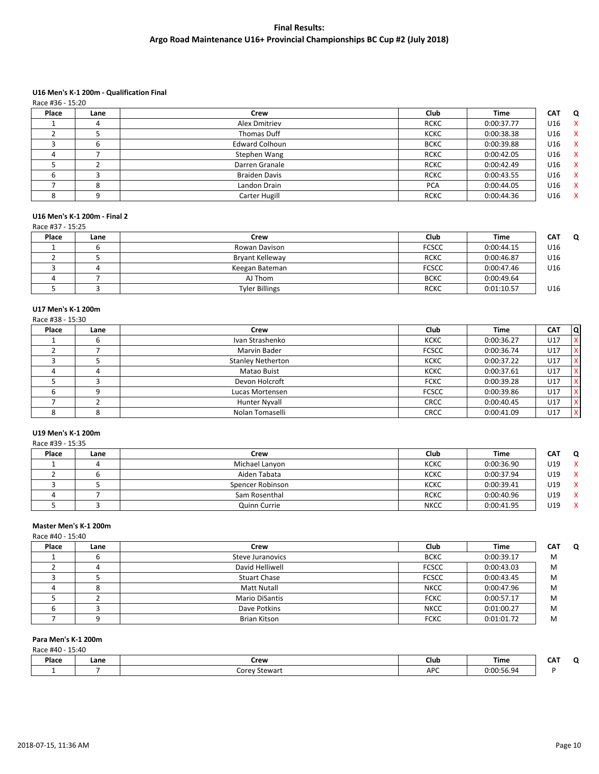## **U16 Men's K-1 200m - Qualification Final**

| Race #36 - 15:20 |      |                       |             |             |            |              |
|------------------|------|-----------------------|-------------|-------------|------------|--------------|
| Place            | Lane | Crew                  | Club        | <b>Time</b> | <b>CAT</b> | Q            |
|                  |      | Alex Dmitriev         | <b>RCKC</b> | 0:00:37.77  | U16        | X            |
|                  |      | Thomas Duff           | <b>KCKC</b> | 0:00:38.38  | U16        | X            |
|                  | b    | <b>Edward Colhoun</b> | <b>BCKC</b> | 0:00:39.88  | U16        | X            |
|                  |      | Stephen Wang          | <b>RCKC</b> | 0:00:42.05  | U16        | X            |
|                  |      | Darren Granale        | <b>RCKC</b> | 0:00:42.49  | U16        | X            |
|                  |      | <b>Braiden Davis</b>  | <b>RCKC</b> | 0:00:43.55  | U16        | X            |
|                  |      | Landon Drain          | <b>PCA</b>  | 0:00:44.05  | U16        | X            |
|                  |      | Carter Hugill         | <b>RCKC</b> | 0:00:44.36  | U16        | $\mathsf{x}$ |

## **U16 Men's K-1 200m - Final 2**

Race #37 - 15:25

| Place | Lane | Crew                   | Club         | <b>Time</b> | <b>CAT</b><br>Ω |
|-------|------|------------------------|--------------|-------------|-----------------|
|       |      | Rowan Davison          | <b>FCSCC</b> | 0:00:44.15  | U16             |
|       |      | <b>Bryant Kelleway</b> | <b>RCKC</b>  | 0:00:46.87  | U16             |
|       |      | Keegan Bateman         | <b>FCSCC</b> | 0:00:47.46  | U16             |
|       |      | AJ Thom                | <b>BCKC</b>  | 0:00:49.64  |                 |
|       |      | <b>Tyler Billings</b>  | <b>RCKC</b>  | 0:01:10.57  | U16             |

## **U17 Men's K-1 200m**

|       | Race #38 - 15:30 |                          |              |             |            |              |
|-------|------------------|--------------------------|--------------|-------------|------------|--------------|
| Place | Lane             | Crew                     | Club         | <b>Time</b> | <b>CAT</b> | <b>Q</b>     |
|       |                  | Ivan Strashenko          | <b>KCKC</b>  | 0:00:36.27  | U17        | X            |
|       |                  | Marvin Bader             | <b>FCSCC</b> | 0:00:36.74  | U17        | X            |
|       |                  | <b>Stanley Netherton</b> | <b>KCKC</b>  | 0:00:37.22  | U17        | X.           |
|       |                  | Matao Buist              | <b>KCKC</b>  | 0:00:37.61  | U17        | X.           |
|       |                  | Devon Holcroft           | <b>FCKC</b>  | 0:00:39.28  | U17        | x            |
|       |                  | Lucas Mortensen          | <b>FCSCC</b> | 0:00:39.86  | U17        | X.           |
|       |                  | <b>Hunter Nyvall</b>     | <b>CRCC</b>  | 0:00:40.45  | U17        | $\mathsf{x}$ |
|       | $\Omega$         | Nolan Tomaselli          | <b>CRCC</b>  | 0:00:41.09  | U17        | $\mathsf{x}$ |

## **U19 Men's K-1 200m**

| Race #39 - 15:35 |      |                  |             |             |     |              |
|------------------|------|------------------|-------------|-------------|-----|--------------|
| Place            | Lane | Crew             | Club        | <b>Time</b> | CAT | Q            |
|                  |      | Michael Lanyon   | <b>KCKC</b> | 0:00:36.90  | U19 | $\mathsf{X}$ |
|                  |      | Aiden Tabata     | <b>KCKC</b> | 0:00:37.94  | U19 | $\mathbf{x}$ |
|                  |      | Spencer Robinson | <b>KCKC</b> | 0:00:39.41  | U19 | $\mathsf{X}$ |
|                  |      | Sam Rosenthal    | <b>RCKC</b> | 0:00:40.96  | U19 | $\mathbf{x}$ |
|                  |      | Quinn Currie     | <b>NKCC</b> | 0:00:41.95  | U19 | $\mathbf{x}$ |

## **Master Men's K-1 200m**

| ∾іасе            | lane |  |  |  |  |
|------------------|------|--|--|--|--|
| Race #40 - 15:40 |      |  |  |  |  |
|                  |      |  |  |  |  |

| Place | Lane | Crew                  | Club         | <b>Time</b> | <b>CAT</b><br>Ω |
|-------|------|-----------------------|--------------|-------------|-----------------|
|       |      | Steve Juranovics      | <b>BCKC</b>  | 0:00:39.17  | M               |
|       |      | David Helliwell       | <b>FCSCC</b> | 0:00:43.03  | M               |
|       |      | <b>Stuart Chase</b>   | <b>FCSCC</b> | 0:00:43.45  | M               |
|       |      | <b>Matt Nutall</b>    | <b>NKCC</b>  | 0:00:47.96  | M               |
|       |      | <b>Mario DiSantis</b> | <b>FCKC</b>  | 0:00:57.17  | M               |
|       |      | Dave Potkins          | <b>NKCC</b>  | 0:01:00.27  | M               |
|       |      | Brian Kitson          | <b>FCKC</b>  | 0:01:01.72  | M               |

## **Para Men's K-1 200m**

Race #40 - 15:40

| Place | Lane | Crew                    | Club | Time                    | ---<br>'N<br>ີ |
|-------|------|-------------------------|------|-------------------------|----------------|
|       |      | $\sim$<br>Corey Stewarf | APC  | 0.00.56.94<br>0.00.JU.J |                |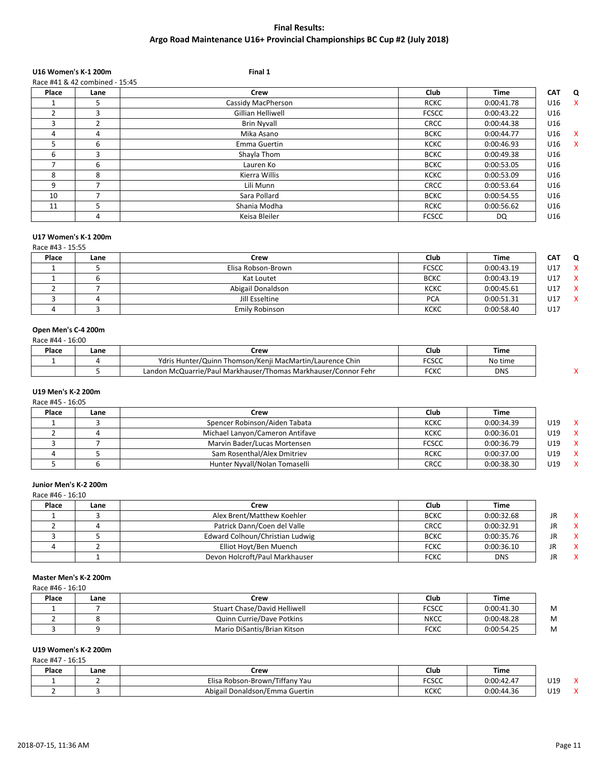# **U16 Women's K-1 200m Final 1**

|       |                                | .  .               |              |             |            |                           |
|-------|--------------------------------|--------------------|--------------|-------------|------------|---------------------------|
|       | Race #41 & 42 combined - 15:45 |                    |              |             |            |                           |
| Place | Lane                           | <b>Crew</b>        | <b>Club</b>  | <b>Time</b> | <b>CAT</b> | Q                         |
|       |                                | Cassidy MacPherson | <b>RCKC</b>  | 0:00:41.78  | U16        | X                         |
| 2     | 3                              | Gillian Helliwell  | <b>FCSCC</b> | 0:00:43.22  | U16        |                           |
| 3     | ∍                              | <b>Brin Nyvall</b> | <b>CRCC</b>  | 0:00:44.38  | U16        |                           |
| 4     | 4                              | Mika Asano         | <b>BCKC</b>  | 0:00:44.77  | U16        | $\boldsymbol{\mathsf{x}}$ |
| 5.    | 6                              | Emma Guertin       | <b>KCKC</b>  | 0:00:46.93  | U16        | $\boldsymbol{\mathsf{x}}$ |
| 6     | 3                              | Shayla Thom        | <b>BCKC</b>  | 0:00:49.38  | U16        |                           |
|       | 6                              | Lauren Ko          | <b>BCKC</b>  | 0:00:53.05  | U16        |                           |
| 8     | 8                              | Kierra Willis      | <b>KCKC</b>  | 0:00:53.09  | U16        |                           |
| 9     |                                | Lili Munn          | <b>CRCC</b>  | 0:00:53.64  | U16        |                           |
| 10    |                                | Sara Pollard       | <b>BCKC</b>  | 0:00:54.55  | U16        |                           |
| 11    |                                | Shania Modha       | <b>RCKC</b>  | 0:00:56.62  | U16        |                           |
|       | 4                              | Keisa Bleiler      | <b>FCSCC</b> | DQ          | U16        |                           |
|       |                                |                    |              |             |            |                           |

#### **U17 Women's K-1 200m** Race #43 - 15:55

| $110C C H + 3 L.33$ |                    |              |             |     |     |
|---------------------|--------------------|--------------|-------------|-----|-----|
| Lane                | Crew               | Club         | <b>Time</b> | САТ | O   |
|                     | Elisa Robson-Brown | <b>FCSCC</b> | 0:00:43.19  | U17 | - X |
|                     | Kat Loutet         | <b>BCKC</b>  | 0:00:43.19  | U17 | X   |
|                     | Abigail Donaldson  | <b>KCKC</b>  | 0:00:45.61  | U17 | - X |
|                     | Jill Esseltine     | <b>PCA</b>   | 0:00:51.31  | U17 |     |
|                     | Emily Robinson     | <b>KCKC</b>  | 0:00:58.40  | U17 |     |
|                     |                    |              |             |     |     |

## **Open Men's C-4 200m**

| Race #44 - 16:00 |  |
|------------------|--|
|------------------|--|

| Place | Lane | Crew                                                           | Club          | Time       |  |
|-------|------|----------------------------------------------------------------|---------------|------------|--|
|       |      | n Thomson/Kenji MacMartin/Laurence Chin<br>Ydris Hunter/Quinn  | rcccc<br>しっしし | No time    |  |
|       |      | Landon McQuarrie/Paul Markhauser/Thomas Markhauser/Connor Fehr | <b>FCKC</b>   | <b>DNS</b> |  |

#### **U19 Men's K-2 200m** Race #45 - 16:05

| Crew                            | Club         | Time       |     |  |
|---------------------------------|--------------|------------|-----|--|
| Spencer Robinson/Aiden Tabata   | <b>KCKC</b>  | 0:00:34.39 | U19 |  |
| Michael Lanyon/Cameron Antifave | <b>KCKC</b>  | 0:00:36.01 | U19 |  |
| Marvin Bader/Lucas Mortensen    | <b>FCSCC</b> | 0:00:36.79 | U19 |  |
| Sam Rosenthal/Alex Dmitriev     | <b>RCKC</b>  | 0:00:37.00 | U19 |  |
| Hunter Nyvall/Nolan Tomaselli   | <b>CRCC</b>  | 0:00:38.30 | U19 |  |
|                                 |              |            |     |  |

## **Junior Men's K-2 200m**

Race #46 - 16:10

| Place | Lane | Crew                            | Club        | Time       |         |
|-------|------|---------------------------------|-------------|------------|---------|
|       |      | Alex Brent/Matthew Koehler      | <b>BCKC</b> | 0:00:32.68 | JR<br>X |
|       |      | Patrick Dann/Coen del Valle     | <b>CRCC</b> | 0:00:32.91 | JR<br>X |
|       |      | Edward Colhoun/Christian Ludwig | <b>BCKC</b> | 0:00:35.76 | JR      |
|       |      | Elliot Hoyt/Ben Muench          | <b>FCKC</b> | 0:00:36.10 | JR      |
|       |      | Devon Holcroft/Paul Markhauser  | <b>FCKC</b> | <b>DNS</b> | JR      |

## **Master Men's K-2 200m**

Race #46 - 16:10

| Place | Lane | Crew                         | Club         | <b>Time</b> |   |
|-------|------|------------------------------|--------------|-------------|---|
|       |      | Stuart Chase/David Helliwell | <b>FCSCC</b> | 0:00:41.30  | M |
|       |      | Quinn Currie/Dave Potkins    | <b>NKCC</b>  | 0:00:48.28  | M |
|       |      | Mario DiSantis/Brian Kitson  | <b>FCKC</b>  | 0:00:54.25  | M |

# **U19 Women's K-2 200m**

Race #47 - 16:15

| Place | Lane | Crew                           | Club                 | <b>Time</b> |     |
|-------|------|--------------------------------|----------------------|-------------|-----|
|       |      | Elisa Robson-Brown/Tiffany Yau | <b>FCCCC</b><br>しっしし | 0:00:42.47  | U19 |
|       |      | Abigail Donaldson/Emma Guertin | <b>KCKC</b>          | 0:00:44.36  | U19 |